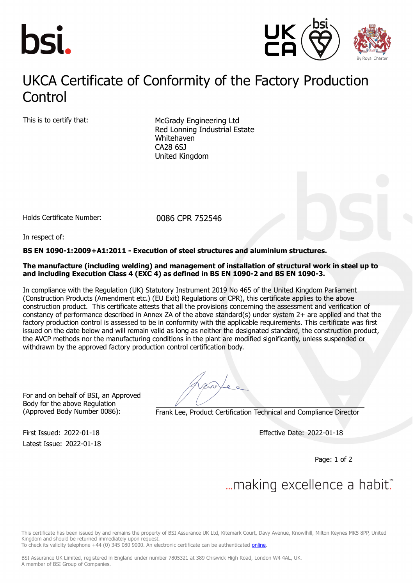



## UKCA Certificate of Conformity of the Factory Production **Control**

This is to certify that: McGrady Engineering Ltd Red Lonning Industrial Estate Whitehaven CA28 6SJ United Kingdom

Holds Certificate Number: 0086 CPR 752546

In respect of:

#### **BS EN 1090-1:2009+A1:2011 - Execution of steel structures and aluminium structures.**

#### **The manufacture (including welding) and management of installation of structural work in steel up to and including Execution Class 4 (EXC 4) as defined in BS EN 1090-2 and BS EN 1090-3.**

In compliance with the Regulation (UK) Statutory Instrument 2019 No 465 of the United Kingdom Parliament (Construction Products (Amendment etc.) (EU Exit) Regulations or CPR), this certificate applies to the above construction product. This certificate attests that all the provisions concerning the assessment and verification of constancy of performance described in Annex ZA of the above standard(s) under system 2+ are applied and that the factory production control is assessed to be in conformity with the applicable requirements. This certificate was first issued on the date below and will remain valid as long as neither the designated standard, the construction product, the AVCP methods nor the manufacturing conditions in the plant are modified significantly, unless suspended or withdrawn by the approved factory production control certification body.

For and on behalf of BSI, an Approved Body for the above Regulation

Latest Issue: 2022-01-18

(Approved Body Number 0086): Frank Lee, Product Certification Technical and Compliance Director

First Issued: 2022-01-18 Effective Date: 2022-01-18

Page: 1 of 2

# ... making excellence a habit.™

This certificate has been issued by and remains the property of BSI Assurance UK Ltd, Kitemark Court, Davy Avenue, Knowlhill, Milton Keynes MK5 8PP, United Kingdom and should be returned immediately upon request.

To check its validity telephone +44 (0) 345 080 9000. An electronic certificate can be authenticated [online](https://pgplus.bsigroup.com/CertificateValidation/CertificateValidator.aspx?CertificateNumber=CPR+752546&ReIssueDate=18%2f01%2f2022&Template=uk).

BSI Assurance UK Limited, registered in England under number 7805321 at 389 Chiswick High Road, London W4 4AL, UK. A member of BSI Group of Companies.